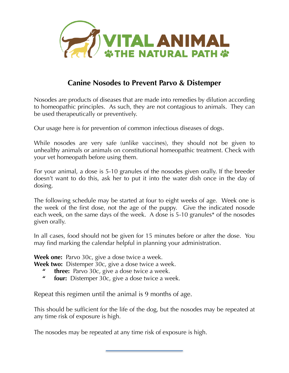

## **Canine Nosodes to Prevent Parvo & Distemper**

Nosodes are products of diseases that are made into remedies by dilution according to homeopathic principles. As such, they are not contagious to animals. They can be used therapeutically or preventively.

Our usage here is for prevention of common infectious diseases of dogs.

While nosodes are very safe (unlike vaccines), they should not be given to unhealthy animals or animals on constitutional homeopathic treatment. Check with your vet homeopath before using them.

For your animal, a dose is 5-10 granules of the nosodes given orally. If the breeder doesn't want to do this, ask her to put it into the water dish once in the day of dosing.

The following schedule may be started at four to eight weeks of age. Week one is the week of the first dose, not the age of the puppy. Give the indicated nosode each week, on the same days of the week. A dose is 5-10 granules\* of the nosodes given orally.

In all cases, food should not be given for 15 minutes before or after the dose. You may find marking the calendar helpful in planning your administration.

**Week one:** Parvo 30c, give a dose twice a week.

**Week two:** Distemper 30c, give a dose twice a week.

- **" three:** Parvo 30c, give a dose twice a week.
- **" four:** Distemper 30c, give a dose twice a week.

Repeat this regimen until the animal is 9 months of age.

This should be sufficient for the life of the dog, but the nosodes may be repeated at any time risk of exposure is high.

The nosodes may be repeated at any time risk of exposure is high.